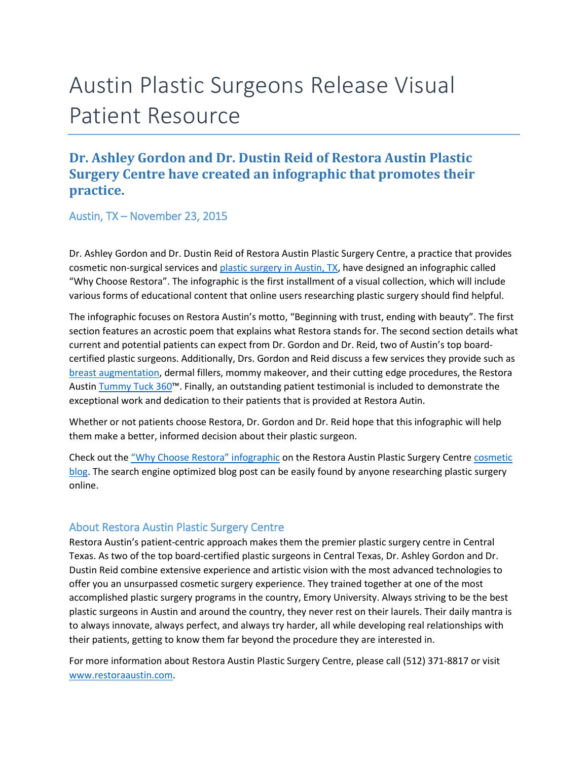## Austin Plastic Surgeons Release Visual Patient Resource

## **Dr. Ashley Gordon and Dr. Dustin Reid of Restora Austin Plastic Surgery Centre have created an infographic that promotes their practice.**

Austin, TX – November 23, 2015

Dr. Ashley Gordon and Dr. Dustin Reid of Restora Austin Plastic Surgery Centre, a practice that provides cosmetic non-surgical services and [plastic surgery in Austin, TX,](http://www.restoraaustin.com/) have designed an infographic called "Why Choose Restora". The infographic is the first installment of a visual collection, which will include various forms of educational content that online users researching plastic surgery should find helpful.

The infographic focuses on Restora Austin's motto, "Beginning with trust, ending with beauty". The first section features an acrostic poem that explains what Restora stands for. The second section details what current and potential patients can expect from Dr. Gordon and Dr. Reid, two of Austin's top boardcertified plastic surgeons. Additionally, Drs. Gordon and Reid discuss a few services they provide such as [breast augmentation,](http://www.restoraaustin.com/breast-augmentation-austin-tx/) dermal fillers, mommy makeover, and their cutting edge procedures, the Restora Austin [Tummy Tuck 360](http://www.restoraaustin.com/intro-to-tummy-tuck-abdominoplasty/tummy-tuck-360-austin-tx/)™. Finally, an outstanding patient testimonial is included to demonstrate the exceptional work and dedication to their patients that is provided at Restora Autin.

Whether or not patients choose Restora, Dr. Gordon and Dr. Reid hope that this infographic will help them make a better, informed decision about their plastic surgeon.

Check out the ["Why Choose Restora" infographic](http://www.restoraaustin.com/why-choose-restora/) on the Restora Austin Plastic Surgery Centr[e cosmetic](http://www.restoraaustin.com/blog/)  [blog.](http://www.restoraaustin.com/blog/) The search engine optimized blog post can be easily found by anyone researching plastic surgery online.

## About Restora Austin Plastic Surgery Centre

Restora Austin's patient-centric approach makes them the premier plastic surgery centre in Central Texas. As two of the top board-certified plastic surgeons in Central Texas, Dr. Ashley Gordon and Dr. Dustin Reid combine extensive experience and artistic vision with the most advanced technologies to offer you an unsurpassed cosmetic surgery experience. They trained together at one of the most accomplished plastic surgery programs in the country, Emory University. Always striving to be the best plastic surgeons in Austin and around the country, they never rest on their laurels. Their daily mantra is to always innovate, always perfect, and always try harder, all while developing real relationships with their patients, getting to know them far beyond the procedure they are interested in.

For more information about Restora Austin Plastic Surgery Centre, please call (512) 371-8817 or visit [www.restoraaustin.com.](http://www.restoraaustin.com/)